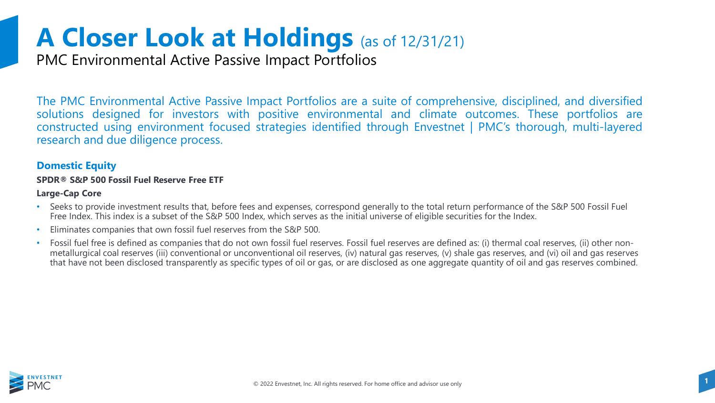PMC Environmental Active Passive Impact Portfolios

The PMC Environmental Active Passive Impact Portfolios are a suite of comprehensive, disciplined, and diversified solutions designed for investors with positive environmental and climate outcomes. These portfolios are constructed using environment focused strategies identified through Envestnet | PMC's thorough, multi-layered research and due diligence process.

#### **Domestic Equity**

#### **SPDR® S&P 500 Fossil Fuel Reserve Free ETF**

#### **Large-Cap Core**

- Seeks to provide investment results that, before fees and expenses, correspond generally to the total return performance of the S&P 500 Fossil Fuel Free Index. This index is a subset of the S&P 500 Index, which serves as the initial universe of eligible securities for the Index.
- Eliminates companies that own fossil fuel reserves from the S&P 500.
- Fossil fuel free is defined as companies that do not own fossil fuel reserves. Fossil fuel reserves are defined as: (i) thermal coal reserves, (ii) other nonmetallurgical coal reserves (iii) conventional or unconventional oil reserves, (iv) natural gas reserves, (v) shale gas reserves, and (vi) oil and gas reserves that have not been disclosed transparently as specific types of oil or gas, or are disclosed as one aggregate quantity of oil and gas reserves combined.

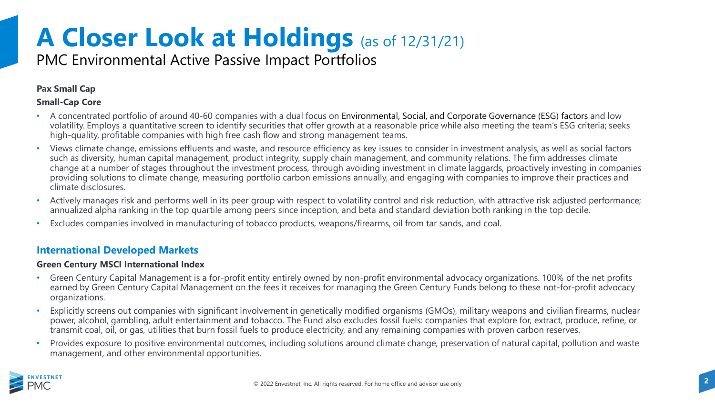### PMC Environmental Active Passive Impact Portfolios

#### **Pax Small Cap**

#### **Small-Cap Core**

- A concentrated portfolio of around 40-60 companies with a dual focus on Environmental, Social, and Corporate Governance (ESG) factors and low volatility. Employs a quantitative screen to identify securities that offer growth at a reasonable price while also meeting the team's ESG criteria; seeks high-quality, profitable companies with high free cash flow and strong management teams.
- Views climate change, emissions effluents and waste, and resource efficiency as key issues to consider in investment analysis, as well as social factors such as diversity, human capital management, product integrity, supply chain management, and community relations. The firm addresses climate change at a number of stages throughout the investment process, through avoiding investment in climate laggards, proactively investing in companies providing solutions to climate change, measuring portfolio carbon emissions annually, and engaging with companies to improve their practices and climate disclosures.
- Actively manages risk and performs well in its peer group with respect to volatility control and risk reduction, with attractive risk adjusted performance; annualized alpha ranking in the top quartile among peers since inception, and beta and standard deviation both ranking in the top decile.
- Excludes companies involved in manufacturing of tobacco products, weapons/firearms, oil from tar sands, and coal.

#### **International Developed Markets**

#### **Green Century MSCI International Index**

- Green Century Capital Management is a for-profit entity entirely owned by non-profit environmental advocacy organizations. 100% of the net profits earned by Green Century Capital Management on the fees it receives for managing the Green Century Funds belong to these not-for-profit advocacy organizations.
- Explicitly screens out companies with significant involvement in genetically modified organisms (GMOs), military weapons and civilian firearms, nuclear power, alcohol, gambling, adult entertainment and tobacco. The Fund also excludes fossil fuels: companies that explore for, extract, produce, refine, or transmit coal, oil, or gas, utilities that burn fossil fuels to produce electricity, and any remaining companies with proven carbon reserves.
- Provides exposure to positive environmental outcomes, including solutions around climate change, preservation of natural capital, pollution and waste management, and other environmental opportunities.

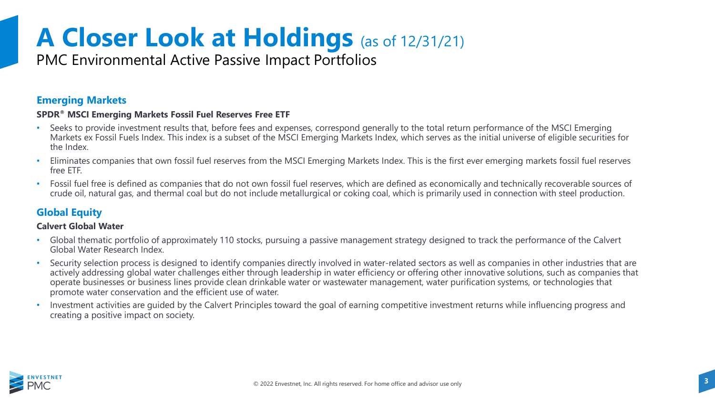### PMC Environmental Active Passive Impact Portfolios

#### **Emerging Markets**

#### **SPDR® MSCI Emerging Markets Fossil Fuel Reserves Free ETF**

- Seeks to provide investment results that, before fees and expenses, correspond generally to the total return performance of the MSCI Emerging Markets ex Fossil Fuels Index. This index is a subset of the MSCI Emerging Markets Index, which serves as the initial universe of eligible securities for the Index.
- Eliminates companies that own fossil fuel reserves from the MSCI Emerging Markets Index. This is the first ever emerging markets fossil fuel reserves free ETF.
- Fossil fuel free is defined as companies that do not own fossil fuel reserves, which are defined as economically and technically recoverable sources of crude oil, natural gas, and thermal coal but do not include metallurgical or coking coal, which is primarily used in connection with steel production.

### **Global Equity**

#### **Calvert Global Water**

- Global thematic portfolio of approximately 110 stocks, pursuing a passive management strategy designed to track the performance of the Calvert Global Water Research Index.
- Security selection process is designed to identify companies directly involved in water-related sectors as well as companies in other industries that are actively addressing global water challenges either through leadership in water efficiency or offering other innovative solutions, such as companies that operate businesses or business lines provide clean drinkable water or wastewater management, water purification systems, or technologies that promote water conservation and the efficient use of water.
- Investment activities are guided by the Calvert Principles toward the goal of earning competitive investment returns while influencing progress and creating a positive impact on society.

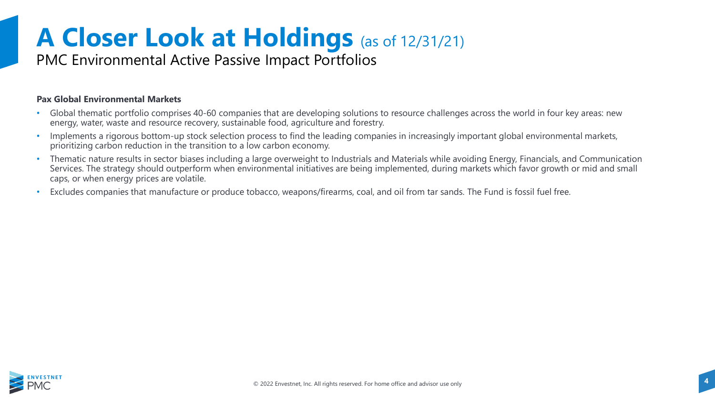### PMC Environmental Active Passive Impact Portfolios

#### **Pax Global Environmental Markets**

- Global thematic portfolio comprises 40-60 companies that are developing solutions to resource challenges across the world in four key areas: new energy, water, waste and resource recovery, sustainable food, agriculture and forestry.
- Implements a rigorous bottom-up stock selection process to find the leading companies in increasingly important global environmental markets, prioritizing carbon reduction in the transition to a low carbon economy.
- Thematic nature results in sector biases including a large overweight to Industrials and Materials while avoiding Energy, Financials, and Communication Services. The strategy should outperform when environmental initiatives are being implemented, during markets which favor growth or mid and small caps, or when energy prices are volatile.
- Excludes companies that manufacture or produce tobacco, weapons/firearms, coal, and oil from tar sands. The Fund is fossil fuel free.

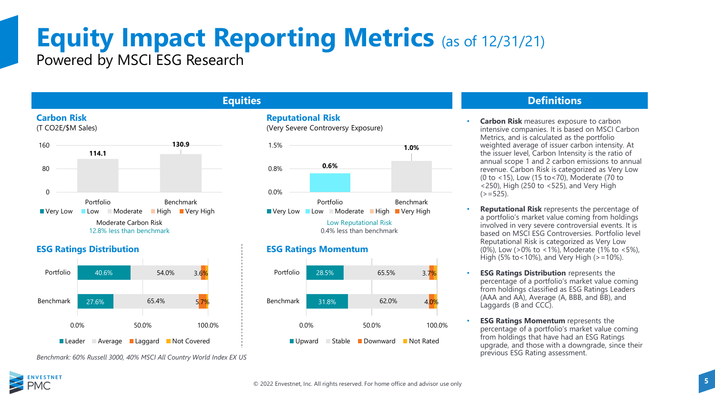### **Equity Impact Reporting Metrics** (as of 12/31/21) Powered by MSCI ESG Research

#### **Carbon Risk**





#### **ESG Ratings Distribution ESG Ratings Momentum**



#### **Equities**





0.4% less than benchmark



#### **Definitions**

- **Carbon Risk measures exposure to carbon** intensive companies. It is based on MSCI Carbon Metrics, and is calculated as the portfolio weighted average of issuer carbon intensity. At the issuer level, Carbon Intensity is the ratio of annual scope 1 and 2 carbon emissions to annual revenue. Carbon Risk is categorized as Very Low (0 to <15), Low (15 to<70), Moderate (70 to <250), High (250 to <525), and Very High  $(>=525)$ .
- **Reputational Risk** represents the percentage of a portfolio's market value coming from holdings involved in very severe controversial events. It is based on MSCI ESG Controversies. Portfolio level Reputational Risk is categorized as Very Low (0%), Low (>0% to <1%), Moderate (1% to <5%), High (5% to < 10%), and Very High ( $> = 10$ %).
- **ESG Ratings Distribution** represents the percentage of a portfolio's market value coming from holdings classified as ESG Ratings Leaders  $(AAA$  and  $A\overline{A}$ ), Average  $(A, BBB,$  and  $\overline{B}B)$ , and Laggards (B and CCC).
- **ESG Ratings Momentum** represents the percentage of a portfolio's market value coming from holdings that have had an ESG Ratings upgrade, and those with a downgrade, since their previous ESG Rating assessment.

*Benchmark: 60% Russell 3000, 40% MSCI All Country World Index EX US*

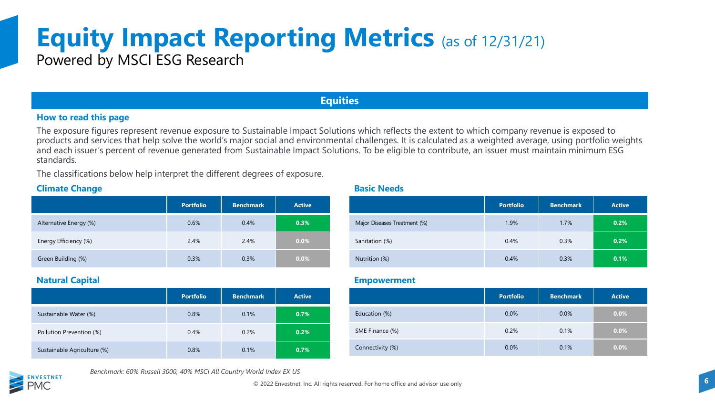# **Equity Impact Reporting Metrics** (as of 12/31/21)

Powered by MSCI ESG Research

#### **Equities**

#### **How to read this page**

The exposure figures represent revenue exposure to Sustainable Impact Solutions which reflects the extent to which company revenue is exposed to products and services that help solve the world's major social and environmental challenges. It is calculated as a weighted average, using portfolio weights and each issuer's percent of revenue generated from Sustainable Impact Solutions. To be eligible to contribute, an issuer must maintain minimum ESG standards.

The classifications below help interpret the different degrees of exposure.

#### **Climate Change**

|                        | <b>Portfolio</b> | <b>Benchmark</b> | <b>Active</b> |
|------------------------|------------------|------------------|---------------|
| Alternative Energy (%) | 0.6%             | 0.4%             | 0.3%          |
| Energy Efficiency (%)  | 2.4%             | 2.4%             | $0.0\%$       |
| Green Building (%)     | 0.3%             | 0.3%             | $0.0\%$       |

#### **Natural Capital**

|                             | <b>Portfolio</b> | <b>Benchmark</b> | <b>Active</b> |
|-----------------------------|------------------|------------------|---------------|
| Sustainable Water (%)       | 0.8%             | 0.1%             | 0.7%          |
| Pollution Prevention (%)    | 0.4%             | 0.2%             | 0.2%          |
| Sustainable Agriculture (%) | 0.8%             | 0.1%             | 0.7%          |

**Basic Needs**

|                              | <b>Portfolio</b> | <b>Benchmark</b> | <b>Active</b> |
|------------------------------|------------------|------------------|---------------|
| Major Diseases Treatment (%) | 1.9%             | 1.7%             | 0.2%          |
| Sanitation (%)               | 0.4%             | 0.3%             | 0.2%          |
| Nutrition (%)                | 0.4%             | 0.3%             | 0.1%          |

#### **Empowerment**

|                  | <b>Portfolio</b> | <b>Benchmark</b> | <b>Active</b> |
|------------------|------------------|------------------|---------------|
| Education (%)    | 0.0%             | 0.0%             | $0.0\%$       |
| SME Finance (%)  | 0.2%             | 0.1%             | $0.0\%$       |
| Connectivity (%) | 0.0%             | 0.1%             | 0.0%          |



*Benchmark: 60% Russell 3000, 40% MSCI All Country World Index EX US*

© **6** 2022 Envestnet, Inc. All rights reserved. For home office and advisor use only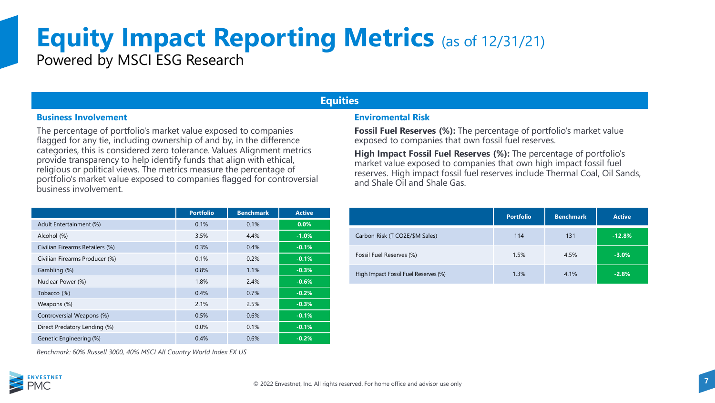# **Equity Impact Reporting Metrics** (as of 12/31/21)

Powered by MSCI ESG Research

#### **Equities**

#### **Business Involvement**

The percentage of portfolio's market value exposed to companies flagged for any tie, including ownership of and by, in the difference categories, this is considered zero tolerance. Values Alignment metrics provide transparency to help identify funds that align with ethical, religious or political views. The metrics measure the percentage of portfolio's market value exposed to companies flagged for controversial business involvement.

|                                 | <b>Portfolio</b> | <b>Benchmark</b> | <b>Active</b> |
|---------------------------------|------------------|------------------|---------------|
| Adult Entertainment (%)         | 0.1%             | 0.1%             | 0.0%          |
| Alcohol (%)                     | 3.5%             | 4.4%             | $-1.0%$       |
| Civilian Firearms Retailers (%) | 0.3%             | 0.4%             | $-0.1%$       |
| Civilian Firearms Producer (%)  | 0.1%             | 0.2%             | $-0.1%$       |
| Gambling (%)                    | 0.8%             | 1.1%             | $-0.3%$       |
| Nuclear Power (%)               | 1.8%             | 2.4%             | $-0.6%$       |
| Tobacco (%)                     | 0.4%             | 0.7%             | $-0.2%$       |
| Weapons (%)                     | 2.1%             | 2.5%             | $-0.3%$       |
| Controversial Weapons (%)       | 0.5%             | 0.6%             | $-0.1%$       |
| Direct Predatory Lending (%)    | 0.0%             | 0.1%             | $-0.1%$       |
| Genetic Engineering (%)         | 0.4%             | 0.6%             | $-0.2%$       |

#### **Enviromental Risk**

**Fossil Fuel Reserves (%):** The percentage of portfolio's market value exposed to companies that own fossil fuel reserves.

**High Impact Fossil Fuel Reserves (%):** The percentage of portfolio's market value exposed to companies that own high impact fossil fuel reserves. High impact fossil fuel reserves include Thermal Coal, Oil Sands, and Shale Oil and Shale Gas.

|                                      | <b>Portfolio</b> | <b>Benchmark</b> | <b>Active</b> |
|--------------------------------------|------------------|------------------|---------------|
| Carbon Risk (T CO2E/\$M Sales)       | 114              | 131              | $-12.8%$      |
| Fossil Fuel Reserves (%)             | 1.5%             | 4.5%             | $-3.0%$       |
| High Impact Fossil Fuel Reserves (%) | 1.3%             | 4.1%             | $-2.8%$       |

*Benchmark: 60% Russell 3000, 40% MSCI All Country World Index EX US*

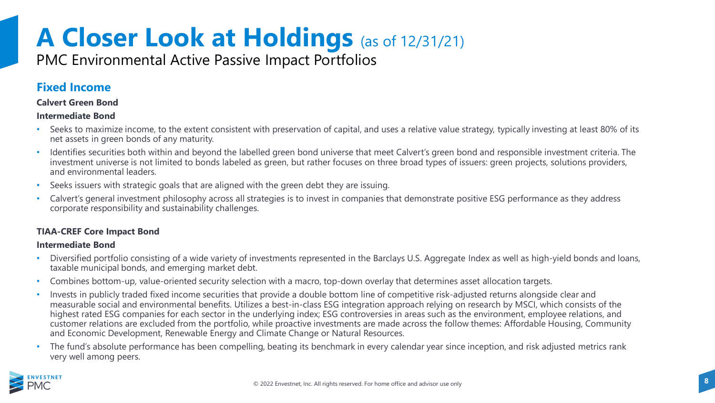### PMC Environmental Active Passive Impact Portfolios

### **Fixed Income**

#### **Calvert Green Bond**

#### **Intermediate Bond**

- Seeks to maximize income, to the extent consistent with preservation of capital, and uses a relative value strategy, typically investing at least 80% of its net assets in green bonds of any maturity.
- Identifies securities both within and beyond the labelled green bond universe that meet Calvert's green bond and responsible investment criteria. The investment universe is not limited to bonds labeled as green, but rather focuses on three broad types of issuers: green projects, solutions providers, and environmental leaders.
- Seeks issuers with strategic goals that are aligned with the green debt they are issuing.
- Calvert's general investment philosophy across all strategies is to invest in companies that demonstrate positive ESG performance as they address corporate responsibility and sustainability challenges.

#### **TIAA-CREF Core Impact Bond**

#### **Intermediate Bond**

- Diversified portfolio consisting of a wide variety of investments represented in the Barclays U.S. Aggregate Index as well as high-yield bonds and loans, taxable municipal bonds, and emerging market debt.
- Combines bottom-up, value-oriented security selection with a macro, top-down overlay that determines asset allocation targets.
- Invests in publicly traded fixed income securities that provide a double bottom line of competitive risk-adjusted returns alongside clear and measurable social and environmental benefits. Utilizes a best-in-class ESG integration approach relying on research by MSCI, which consists of the highest rated ESG companies for each sector in the underlying index; ESG controversies in areas such as the environment, employee relations, and customer relations are excluded from the portfolio, while proactive investments are made across the follow themes: Affordable Housing, Community and Economic Development, Renewable Energy and Climate Change or Natural Resources.
- The fund's absolute performance has been compelling, beating its benchmark in every calendar year since inception, and risk adjusted metrics rank very well among peers.

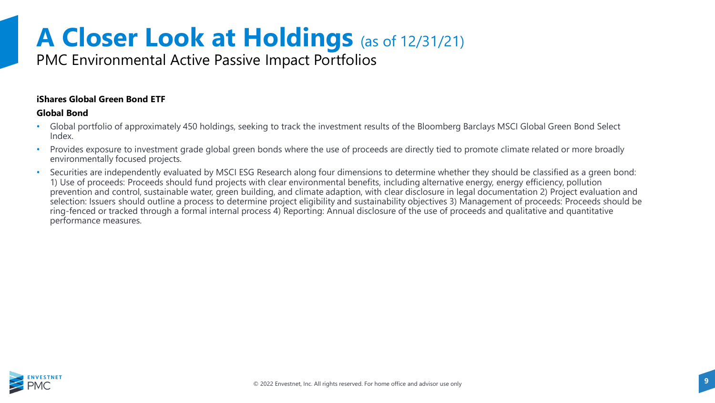### PMC Environmental Active Passive Impact Portfolios

#### **iShares Global Green Bond ETF**

#### **Global Bond**

- Global portfolio of approximately 450 holdings, seeking to track the investment results of the Bloomberg Barclays MSCI Global Green Bond Select Index.
- Provides exposure to investment grade global green bonds where the use of proceeds are directly tied to promote climate related or more broadly environmentally focused projects.
- Securities are independently evaluated by MSCI ESG Research along four dimensions to determine whether they should be classified as a green bond: 1) Use of proceeds: Proceeds should fund projects with clear environmental benefits, including alternative energy, energy efficiency, pollution prevention and control, sustainable water, green building, and climate adaption, with clear disclosure in legal documentation 2) Project evaluation and selection: Issuers should outline a process to determine project eligibility and sustainability objectives 3) Management of proceeds: Proceeds should be ring-fenced or tracked through a formal internal process 4) Reporting: Annual disclosure of the use of proceeds and qualitative and quantitative performance measures.

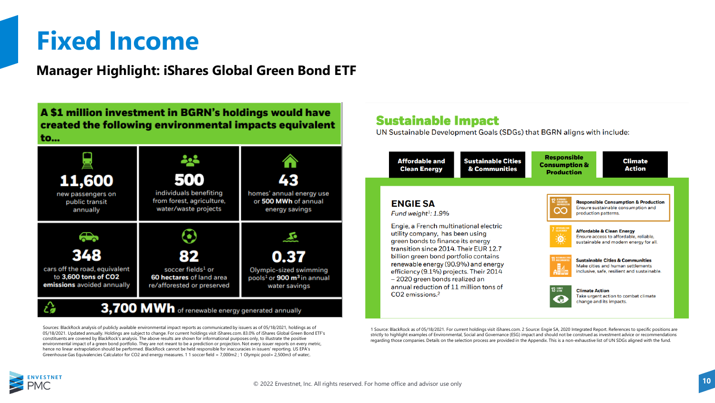### **Fixed Income**

**Manager Highlight: iShares Global Green Bond ETF**

A \$1 million investment in BGRN's holdings would have created the following environmental impacts equivalent to...



Sources: BlackRock analysis of publicly available environmental impact reports as communicated by issuers as of 05/18/2021, holdings as of 05/18/2021. Updated annually. Holdings are subject to change. For current holdings visit iShares.com. 83.0% of iShares Global Green Bond ETF's constituents are covered by BlackRock's analysis. The above results are shown for informational purposes only, to illustrate the positive environmental impact of a green bond portfolio. They are not meant to be a prediction or projection. Not every issuer reports on every metric, hence no linear extrapolation should be performed. BlackRock cannot be held responsible for inaccuracies in issuers' reporting. US EPA's Greenhouse Gas Equivalencies Calculator for CO2 and energy measures. 1 1 soccer field = 7,000m2 ; 1 Olympic pool= 2,500m3 of water;.

### **Sustainable Impact**

UN Sustainable Development Goals (SDGs) that BGRN aligns with include:



strictly to highlight examples of Environmental, Social and Governance (ESG) impact and should not be construed as investment advice or recommendations regarding those companies. Details on the selection process are provided in the Appendix. This is a non-exhaustive list of UN SDGs aligned with the fund.